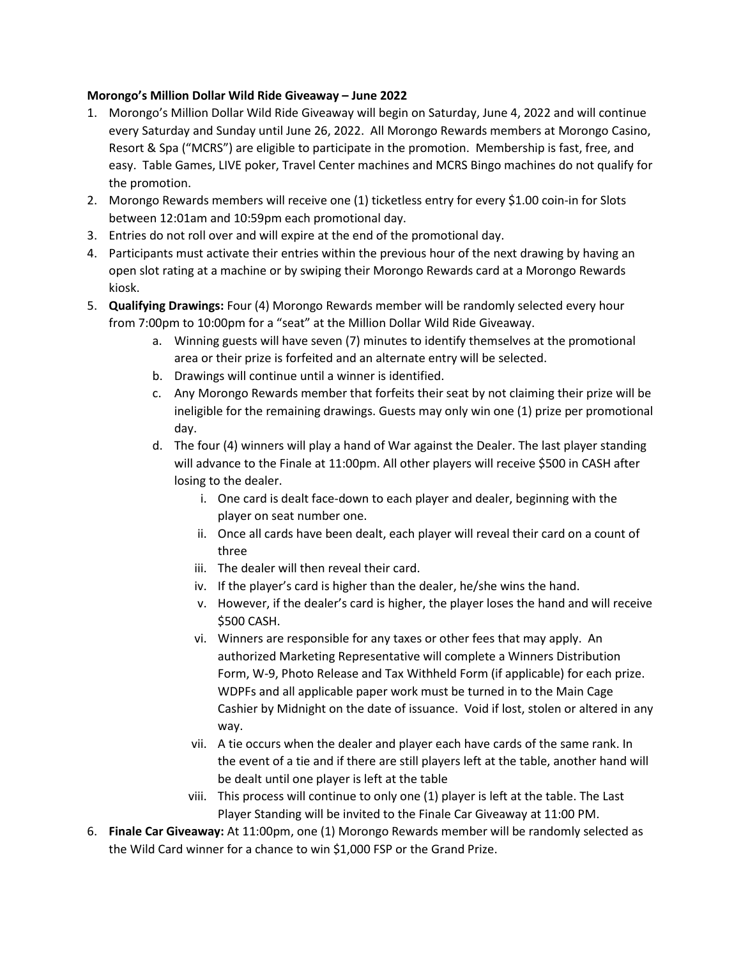## **Morongo's Million Dollar Wild Ride Giveaway – June 2022**

- 1. Morongo's Million Dollar Wild Ride Giveaway will begin on Saturday, June 4, 2022 and will continue every Saturday and Sunday until June 26, 2022. All Morongo Rewards members at Morongo Casino, Resort & Spa ("MCRS") are eligible to participate in the promotion. Membership is fast, free, and easy. Table Games, LIVE poker, Travel Center machines and MCRS Bingo machines do not qualify for the promotion.
- 2. Morongo Rewards members will receive one (1) ticketless entry for every \$1.00 coin-in for Slots between 12:01am and 10:59pm each promotional day.
- 3. Entries do not roll over and will expire at the end of the promotional day.
- 4. Participants must activate their entries within the previous hour of the next drawing by having an open slot rating at a machine or by swiping their Morongo Rewards card at a Morongo Rewards kiosk.
- 5. **Qualifying Drawings:** Four (4) Morongo Rewards member will be randomly selected every hour from 7:00pm to 10:00pm for a "seat" at the Million Dollar Wild Ride Giveaway.
	- a. Winning guests will have seven (7) minutes to identify themselves at the promotional area or their prize is forfeited and an alternate entry will be selected.
	- b. Drawings will continue until a winner is identified.
	- c. Any Morongo Rewards member that forfeits their seat by not claiming their prize will be ineligible for the remaining drawings. Guests may only win one (1) prize per promotional day.
	- d. The four (4) winners will play a hand of War against the Dealer. The last player standing will advance to the Finale at 11:00pm. All other players will receive \$500 in CASH after losing to the dealer.
		- i. One card is dealt face-down to each player and dealer, beginning with the player on seat number one.
		- ii. Once all cards have been dealt, each player will reveal their card on a count of three
		- iii. The dealer will then reveal their card.
		- iv. If the player's card is higher than the dealer, he/she wins the hand.
		- v. However, if the dealer's card is higher, the player loses the hand and will receive \$500 CASH.
		- vi. Winners are responsible for any taxes or other fees that may apply. An authorized Marketing Representative will complete a Winners Distribution Form, W-9, Photo Release and Tax Withheld Form (if applicable) for each prize. WDPFs and all applicable paper work must be turned in to the Main Cage Cashier by Midnight on the date of issuance. Void if lost, stolen or altered in any way.
		- vii. A tie occurs when the dealer and player each have cards of the same rank. In the event of a tie and if there are still players left at the table, another hand will be dealt until one player is left at the table
		- viii. This process will continue to only one (1) player is left at the table. The Last Player Standing will be invited to the Finale Car Giveaway at 11:00 PM.
- 6. **Finale Car Giveaway:** At 11:00pm, one (1) Morongo Rewards member will be randomly selected as the Wild Card winner for a chance to win \$1,000 FSP or the Grand Prize.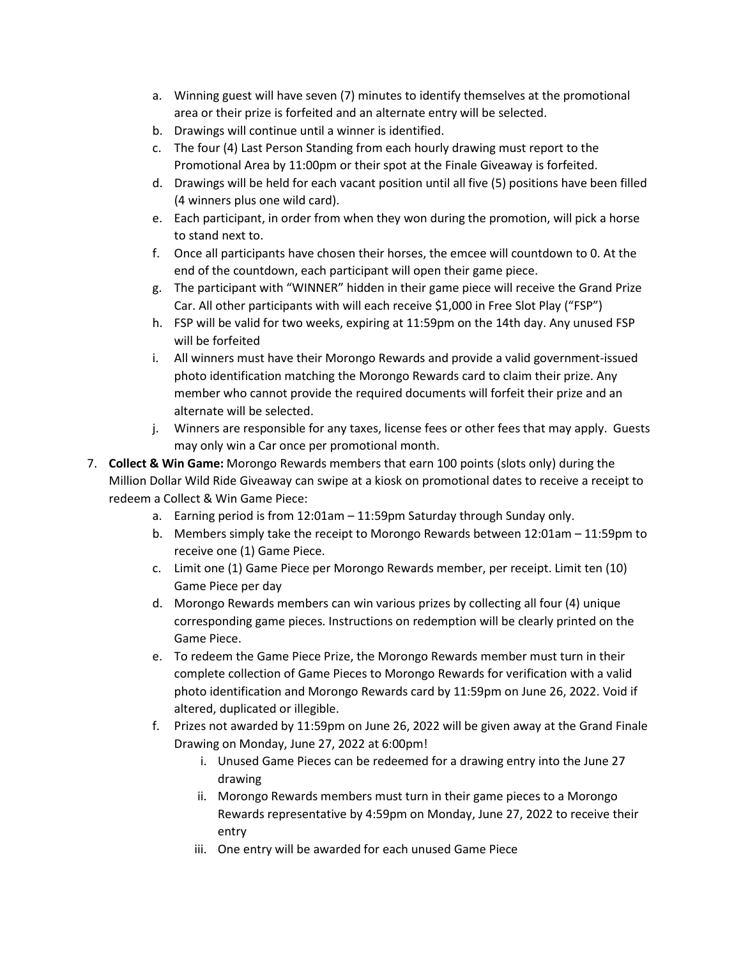- a. Winning guest will have seven (7) minutes to identify themselves at the promotional area or their prize is forfeited and an alternate entry will be selected.
- b. Drawings will continue until a winner is identified.
- c. The four (4) Last Person Standing from each hourly drawing must report to the Promotional Area by 11:00pm or their spot at the Finale Giveaway is forfeited.
- d. Drawings will be held for each vacant position until all five (5) positions have been filled (4 winners plus one wild card).
- e. Each participant, in order from when they won during the promotion, will pick a horse to stand next to.
- f. Once all participants have chosen their horses, the emcee will countdown to 0. At the end of the countdown, each participant will open their game piece.
- g. The participant with "WINNER" hidden in their game piece will receive the Grand Prize Car. All other participants with will each receive \$1,000 in Free Slot Play ("FSP")
- h. FSP will be valid for two weeks, expiring at 11:59pm on the 14th day. Any unused FSP will be forfeited
- i. All winners must have their Morongo Rewards and provide a valid government-issued photo identification matching the Morongo Rewards card to claim their prize. Any member who cannot provide the required documents will forfeit their prize and an alternate will be selected.
- j. Winners are responsible for any taxes, license fees or other fees that may apply. Guests may only win a Car once per promotional month.
- 7. **Collect & Win Game:** Morongo Rewards members that earn 100 points (slots only) during the Million Dollar Wild Ride Giveaway can swipe at a kiosk on promotional dates to receive a receipt to redeem a Collect & Win Game Piece:
	- a. Earning period is from 12:01am 11:59pm Saturday through Sunday only.
	- b. Members simply take the receipt to Morongo Rewards between 12:01am 11:59pm to receive one (1) Game Piece.
	- c. Limit one (1) Game Piece per Morongo Rewards member, per receipt. Limit ten (10) Game Piece per day
	- d. Morongo Rewards members can win various prizes by collecting all four (4) unique corresponding game pieces. Instructions on redemption will be clearly printed on the Game Piece.
	- e. To redeem the Game Piece Prize, the Morongo Rewards member must turn in their complete collection of Game Pieces to Morongo Rewards for verification with a valid photo identification and Morongo Rewards card by 11:59pm on June 26, 2022. Void if altered, duplicated or illegible.
	- f. Prizes not awarded by 11:59pm on June 26, 2022 will be given away at the Grand Finale Drawing on Monday, June 27, 2022 at 6:00pm!
		- i. Unused Game Pieces can be redeemed for a drawing entry into the June 27 drawing
		- ii. Morongo Rewards members must turn in their game pieces to a Morongo Rewards representative by 4:59pm on Monday, June 27, 2022 to receive their entry
		- iii. One entry will be awarded for each unused Game Piece